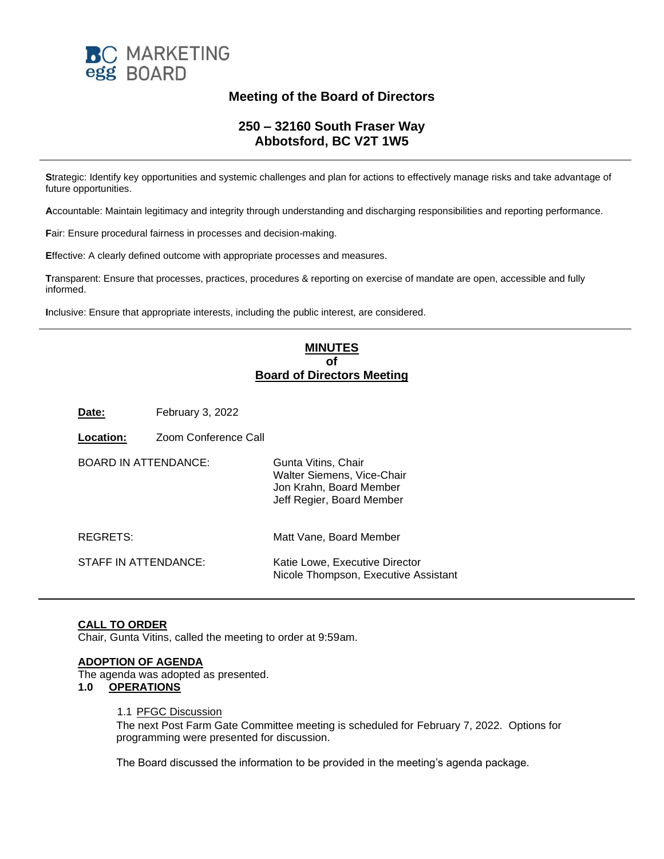

# **Meeting of the Board of Directors**

# **250 – 32160 South Fraser Way Abbotsford, BC V2T 1W5**

**S**trategic: Identify key opportunities and systemic challenges and plan for actions to effectively manage risks and take advantage of future opportunities.

**A**ccountable: Maintain legitimacy and integrity through understanding and discharging responsibilities and reporting performance.

**F**air: Ensure procedural fairness in processes and decision-making.

**E**ffective: A clearly defined outcome with appropriate processes and measures.

**T**ransparent: Ensure that processes, practices, procedures & reporting on exercise of mandate are open, accessible and fully informed.

**I**nclusive: Ensure that appropriate interests, including the public interest, are considered.

# **MINUTES of Board of Directors Meeting**

**Date:** February 3, 2022

**Location:** Zoom Conference Call

| <b>BOARD IN ATTENDANCE:</b> | Gunta Vitins, Chair<br>Walter Siemens, Vice-Chair<br>Jon Krahn, Board Member<br>Jeff Regier, Board Member |
|-----------------------------|-----------------------------------------------------------------------------------------------------------|
| REGRETS:                    | Matt Vane, Board Member                                                                                   |
| STAFF IN ATTENDANCE:        | Katie Lowe, Executive Director<br>Nicole Thompson, Executive Assistant                                    |

## **CALL TO ORDER**

Chair, Gunta Vitins, called the meeting to order at 9:59am.

#### **ADOPTION OF AGENDA**

The agenda was adopted as presented.

#### **1.0 OPERATIONS**

#### 1.1 PFGC Discussion

The next Post Farm Gate Committee meeting is scheduled for February 7, 2022. Options for programming were presented for discussion.

The Board discussed the information to be provided in the meeting's agenda package.